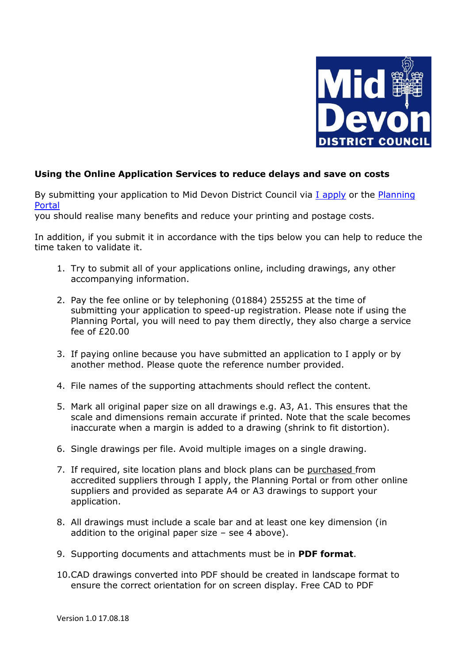

## **Using the Online Application Services to reduce delays and save on costs**

By submitting your application to Mid Devon District Council via [I apply](https://iapply.co.uk/) or the Planning [Portal](https://www.planningportal.co.uk/applications)

you should realise many benefits and reduce your printing and postage costs.

In addition, if you submit it in accordance with the tips below you can help to reduce the time taken to validate it.

- 1. Try to submit all of your applications online, including drawings, any other accompanying information.
- 2. Pay the fee online or by telephoning (01884) 255255 at the time of submitting your application to speed-up registration. Please note if using the Planning Portal, you will need to pay them directly, they also charge a service fee of £20.00
- 3. If paying online because you have submitted an application to I apply or by another method. Please quote the reference number provided.
- 4. File names of the supporting attachments should reflect the content.
- 5. Mark all original paper size on all drawings e.g. A3, A1. This ensures that the scale and dimensions remain accurate if printed. Note that the scale becomes inaccurate when a margin is added to a drawing (shrink to fit distortion).
- 6. Single drawings per file. Avoid multiple images on a single drawing.
- 7. If required, site location plans and block plans can be purchased from accredited suppliers through I apply, the Planning Portal or from other online suppliers and provided as separate A4 or A3 drawings to support your application.
- 8. All drawings must include a scale bar and at least one key dimension (in addition to the original paper size  $-$  see 4 above).
- 9. Supporting documents and attachments must be in **PDF format**.
- 10.CAD drawings converted into PDF should be created in landscape format to ensure the correct orientation for on screen display. Free CAD to PDF